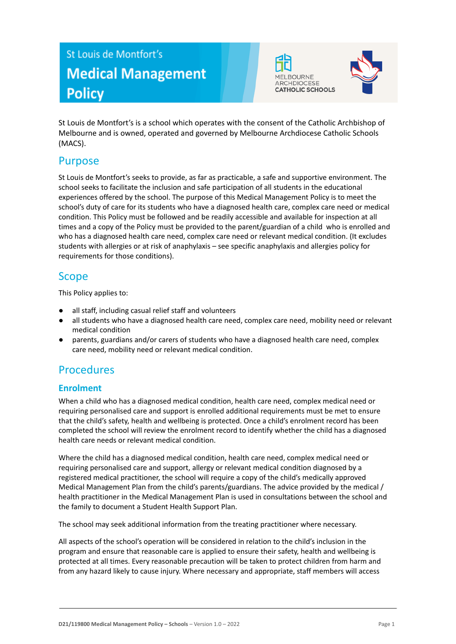# St Louis de Montfort's **Medical Management Policy**





St Louis de Montfort's is a school which operates with the consent of the Catholic Archbishop of Melbourne and is owned, operated and governed by Melbourne Archdiocese Catholic Schools (MACS).

## Purpose

St Louis de Montfort's seeks to provide, as far as practicable, a safe and supportive environment. The school seeks to facilitate the inclusion and safe participation of all students in the educational experiences offered by the school. The purpose of this Medical Management Policy is to meet the school's duty of care for its students who have a diagnosed health care, complex care need or medical condition. This Policy must be followed and be readily accessible and available for inspection at all times and a copy of the Policy must be provided to the parent/guardian of a child who is enrolled and who has a diagnosed health care need, complex care need or relevant medical condition. (It excludes students with allergies or at risk of anaphylaxis – see specific anaphylaxis and allergies policy for requirements for those conditions).

# Scope

This Policy applies to:

- all staff, including casual relief staff and volunteers
- all students who have a diagnosed health care need, complex care need, mobility need or relevant medical condition
- parents, guardians and/or carers of students who have a diagnosed health care need, complex care need, mobility need or relevant medical condition.

# Procedures

### **Enrolment**

When a child who has a diagnosed medical condition, health care need, complex medical need or requiring personalised care and support is enrolled additional requirements must be met to ensure that the child's safety, health and wellbeing is protected. Once a child's enrolment record has been completed the school will review the enrolment record to identify whether the child has a diagnosed health care needs or relevant medical condition.

Where the child has a diagnosed medical condition, health care need, complex medical need or requiring personalised care and support, allergy or relevant medical condition diagnosed by a registered medical practitioner, the school will require a copy of the child's medically approved Medical Management Plan from the child's parents/guardians. The advice provided by the medical / health practitioner in the Medical Management Plan is used in consultations between the school and the family to document a Student Health Support Plan.

The school may seek additional information from the treating practitioner where necessary.

All aspects of the school's operation will be considered in relation to the child's inclusion in the program and ensure that reasonable care is applied to ensure their safety, health and wellbeing is protected at all times. Every reasonable precaution will be taken to protect children from harm and from any hazard likely to cause injury. Where necessary and appropriate, staff members will access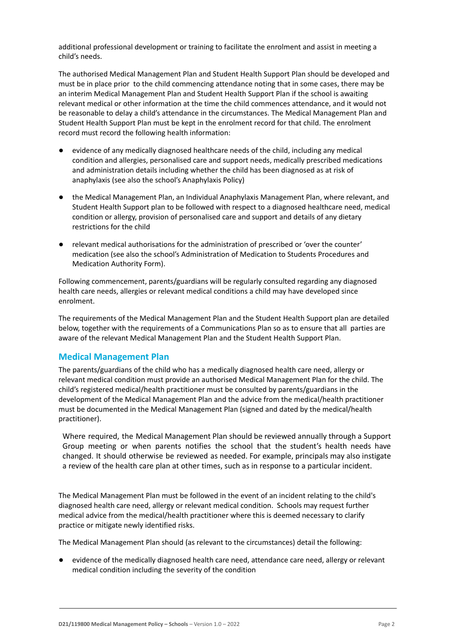additional professional development or training to facilitate the enrolment and assist in meeting a child's needs.

The authorised Medical Management Plan and Student Health Support Plan should be developed and must be in place prior to the child commencing attendance noting that in some cases, there may be an interim Medical Management Plan and Student Health Support Plan if the school is awaiting relevant medical or other information at the time the child commences attendance, and it would not be reasonable to delay a child's attendance in the circumstances. The Medical Management Plan and Student Health Support Plan must be kept in the enrolment record for that child. The enrolment record must record the following health information:

- evidence of any medically diagnosed healthcare needs of the child, including any medical condition and allergies, personalised care and support needs, medically prescribed medications and administration details including whether the child has been diagnosed as at risk of anaphylaxis (see also the school's Anaphylaxis Policy)
- the Medical Management Plan, an Individual Anaphylaxis Management Plan, where relevant, and Student Health Support plan to be followed with respect to a diagnosed healthcare need, medical condition or allergy, provision of personalised care and support and details of any dietary restrictions for the child
- relevant medical authorisations for the administration of prescribed or 'over the counter' medication (see also the school's Administration of Medication to Students Procedures and Medication Authority Form).

Following commencement, parents/guardians will be regularly consulted regarding any diagnosed health care needs, allergies or relevant medical conditions a child may have developed since enrolment.

The requirements of the Medical Management Plan and the Student Health Support plan are detailed below, together with the requirements of a Communications Plan so as to ensure that all parties are aware of the relevant Medical Management Plan and the Student Health Support Plan.

#### **Medical Management Plan**

The parents/guardians of the child who has a medically diagnosed health care need, allergy or relevant medical condition must provide an authorised Medical Management Plan for the child. The child's registered medical/health practitioner must be consulted by parents/guardians in the development of the Medical Management Plan and the advice from the medical/health practitioner must be documented in the Medical Management Plan (signed and dated by the medical/health practitioner).

Where required, the Medical Management Plan should be reviewed annually through a Support Group meeting or when parents notifies the school that the student's health needs have changed. It should otherwise be reviewed as needed. For example, principals may also instigate a review of the health care plan at other times, such as in response to a particular incident.

The Medical Management Plan must be followed in the event of an incident relating to the child's diagnosed health care need, allergy or relevant medical condition. Schools may request further medical advice from the medical/health practitioner where this is deemed necessary to clarify practice or mitigate newly identified risks.

The Medical Management Plan should (as relevant to the circumstances) detail the following:

evidence of the medically diagnosed health care need, attendance care need, allergy or relevant medical condition including the severity of the condition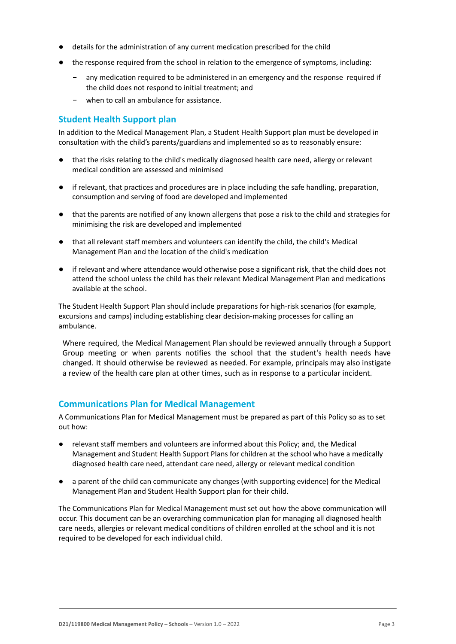- details for the administration of any current medication prescribed for the child
- the response required from the school in relation to the emergence of symptoms, including:
	- any medication required to be administered in an emergency and the response required if the child does not respond to initial treatment; and
	- when to call an ambulance for assistance.

#### **Student Health Support plan**

In addition to the Medical Management Plan, a Student Health Support plan must be developed in consultation with the child's parents/guardians and implemented so as to reasonably ensure:

- that the risks relating to the child's medically diagnosed health care need, allergy or relevant medical condition are assessed and minimised
- if relevant, that practices and procedures are in place including the safe handling, preparation, consumption and serving of food are developed and implemented
- that the parents are notified of any known allergens that pose a risk to the child and strategies for minimising the risk are developed and implemented
- that all relevant staff members and volunteers can identify the child, the child's Medical Management Plan and the location of the child's medication
- if relevant and where attendance would otherwise pose a significant risk, that the child does not attend the school unless the child has their relevant Medical Management Plan and medications available at the school.

The Student Health Support Plan should include preparations for high-risk scenarios (for example, excursions and camps) including establishing clear decision-making processes for calling an ambulance.

Where required, the Medical Management Plan should be reviewed annually through a Support Group meeting or when parents notifies the school that the student's health needs have changed. It should otherwise be reviewed as needed. For example, principals may also instigate a review of the health care plan at other times, such as in response to a particular incident.

#### **Communications Plan for Medical Management**

A Communications Plan for Medical Management must be prepared as part of this Policy so as to set out how:

- relevant staff members and volunteers are informed about this Policy; and, the Medical Management and Student Health Support Plans for children at the school who have a medically diagnosed health care need, attendant care need, allergy or relevant medical condition
- a parent of the child can communicate any changes (with supporting evidence) for the Medical Management Plan and Student Health Support plan for their child.

The Communications Plan for Medical Management must set out how the above communication will occur. This document can be an overarching communication plan for managing all diagnosed health care needs, allergies or relevant medical conditions of children enrolled at the school and it is not required to be developed for each individual child.